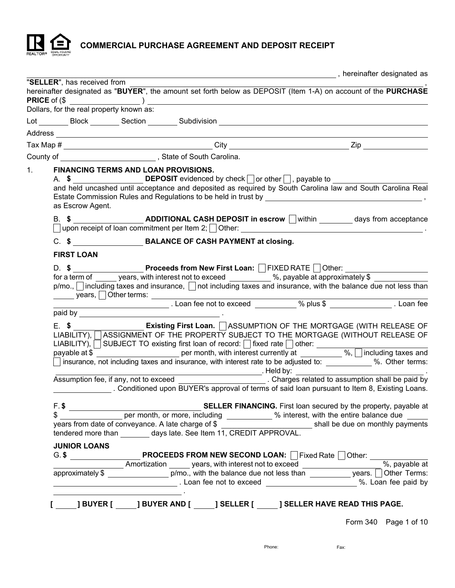

COMMERCIAL PURCHASE AGREEMENT AND DEPOSIT RECEIPT

|                                                    |                                                                                 |                                                                                                                                                                           | , hereinafter designated as                                                                                                                                                                                                                                                                                                                                                                                                                                                 |
|----------------------------------------------------|---------------------------------------------------------------------------------|---------------------------------------------------------------------------------------------------------------------------------------------------------------------------|-----------------------------------------------------------------------------------------------------------------------------------------------------------------------------------------------------------------------------------------------------------------------------------------------------------------------------------------------------------------------------------------------------------------------------------------------------------------------------|
| "SELLER", has received from<br><b>PRICE</b> of (\$ |                                                                                 | $\frac{1}{2}$ (and the set of $\frac{1}{2}$ ) $\frac{1}{2}$ (and the set of $\frac{1}{2}$ ) $\frac{1}{2}$                                                                 | hereinafter designated as "BUYER", the amount set forth below as DEPOSIT (Item 1-A) on account of the PURCHASE                                                                                                                                                                                                                                                                                                                                                              |
| Dollars, for the real property known as:           |                                                                                 |                                                                                                                                                                           |                                                                                                                                                                                                                                                                                                                                                                                                                                                                             |
|                                                    |                                                                                 |                                                                                                                                                                           |                                                                                                                                                                                                                                                                                                                                                                                                                                                                             |
|                                                    |                                                                                 |                                                                                                                                                                           |                                                                                                                                                                                                                                                                                                                                                                                                                                                                             |
|                                                    |                                                                                 |                                                                                                                                                                           |                                                                                                                                                                                                                                                                                                                                                                                                                                                                             |
|                                                    |                                                                                 | County of ________________________________, State of South Carolina.                                                                                                      |                                                                                                                                                                                                                                                                                                                                                                                                                                                                             |
| 1.<br>as Escrow Agent.                             | FINANCING TERMS AND LOAN PROVISIONS.                                            | A. $\oint$ DEPOSIT evidenced by check $\Box$ or other $\Box$ , payable to                                                                                                 | and held uncashed until acceptance and deposited as required by South Carolina law and South Carolina Real                                                                                                                                                                                                                                                                                                                                                                  |
|                                                    |                                                                                 |                                                                                                                                                                           |                                                                                                                                                                                                                                                                                                                                                                                                                                                                             |
|                                                    |                                                                                 | C. \$ BALANCE OF CASH PAYMENT at closing.                                                                                                                                 |                                                                                                                                                                                                                                                                                                                                                                                                                                                                             |
| <b>FIRST LOAN</b>                                  |                                                                                 |                                                                                                                                                                           |                                                                                                                                                                                                                                                                                                                                                                                                                                                                             |
|                                                    |                                                                                 | D. \$ _______________________Proceeds from New First Loan: OFIXED RATE Other:<br>for a term of <u>years</u> , with interest not to exceed we are well as approximately \$ | $p/mo.$ , including taxes and insurance, $\Box$ not including taxes and insurance, with the balance due not less than                                                                                                                                                                                                                                                                                                                                                       |
|                                                    |                                                                                 |                                                                                                                                                                           | E. \$ ___________________ Existing First Loan. [ ASSUMPTION OF THE MORTGAGE (WITH RELEASE OF<br>LIABILITY), ASSIGNMENT OF THE PROPERTY SUBJECT TO THE MORTGAGE (WITHOUT RELEASE OF<br>LIABILITY), SUBJECT TO existing first loan of record: fixed rate other:<br>payable at \$<br>per month, with interest currently at ___________%, including taxes and<br>insurance, not including taxes and insurance, with interest rate to be adjusted to: __________ %. Other terms: |
|                                                    |                                                                                 |                                                                                                                                                                           | Assumption fee, if any, not to exceed _________________________________. Charges related to assumption shall be paid by<br>. Conditioned upon BUYER's approval of terms of said loan pursuant to Item 8, Existing Loans.                                                                                                                                                                                                                                                    |
| \$                                                 |                                                                                 | tendered more than days late. See Item 11, CREDIT APPROVAL.                                                                                                               | SELLER FINANCING. First loan secured by the property, payable at<br>er month, or more, including ____________ % interest, with the entire balance due _____<br>years from date of conveyance. A late charge of \$ _______________________________ shall be due on monthly payments                                                                                                                                                                                          |
| <b>JUNIOR LOANS</b>                                |                                                                                 |                                                                                                                                                                           |                                                                                                                                                                                                                                                                                                                                                                                                                                                                             |
|                                                    |                                                                                 |                                                                                                                                                                           | Amortization _____ years, with interest not to exceed __________________%, payable at approximately \$                                                                                                                                                                                                                                                                                                                                                                      |
|                                                    | the contract of the contract of the contract of the contract of the contract of | <b>______] BUYER [______] BUYER AND [______] SELLER [______] SELLER HAVE READ THIS PAGE.</b>                                                                              | Form 340 Page 1 of 10                                                                                                                                                                                                                                                                                                                                                                                                                                                       |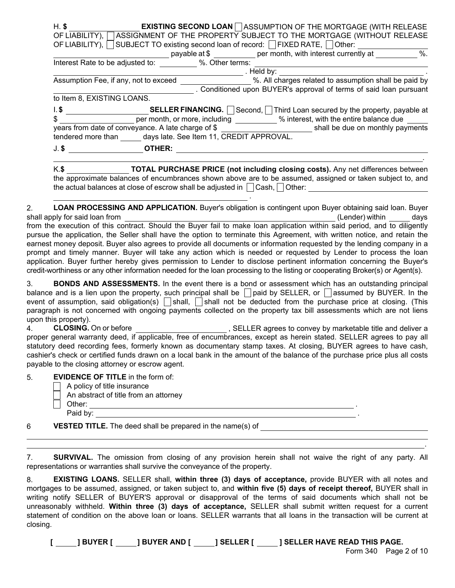| $H.$ \$                        | <b>EXISTING SECOND LOAN</b> ASSUMPTION OF THE MORTGAGE (WITH RELEASE                                                                                                                                     |
|--------------------------------|----------------------------------------------------------------------------------------------------------------------------------------------------------------------------------------------------------|
|                                | OF LIABILITY), ASSIGNMENT OF THE PROPERTY SUBJECT TO THE MORTGAGE (WITHOUT RELEASE                                                                                                                       |
|                                | OF LIABILITY), SUBJECT TO existing second loan of record: FIXED RATE, Other: 011 Other: 36. Marsh 1998 Communism Communism payable at \$ ___________ per month, with interest currently at __________ %. |
|                                |                                                                                                                                                                                                          |
|                                | Interest Rate to be adjusted to: _________ %. Other terms: _____<br><u> 1989 - Johann Barn, mars eta bainar eta baina eta baina eta baina eta baina eta baina eta baina eta baina e</u>                  |
|                                | Assumption Fee, if any, not to exceed ___________________________%. All charges related to assumption shall be paid by                                                                                   |
|                                |                                                                                                                                                                                                          |
|                                | . Conditioned upon BUYER's approval of terms of said loan pursuant                                                                                                                                       |
|                                | to Item 8, EXISTING LOANS.                                                                                                                                                                               |
|                                | I. \$ ______________________________SELLER FINANCING. □ Second, □ Third Loan secured by the property, payable at                                                                                         |
|                                | \$                                                                                                                                                                                                       |
|                                | tendered more than days late. See Item 11, CREDIT APPROVAL.                                                                                                                                              |
|                                | J. \$ OTHER:                                                                                                                                                                                             |
|                                | K.\$ TOTAL PURCHASE PRICE (not including closing costs). Any net differences between                                                                                                                     |
|                                | the approximate balances of encumbrances shown above are to be assumed, assigned or taken subject to, and                                                                                                |
|                                | the actual balances at close of escrow shall be adjusted in $\vert$ $\vert$ Cash, $\vert$ Other:                                                                                                         |
|                                |                                                                                                                                                                                                          |
|                                | LOAN PROCESSING AND APPLICATION. Buyer's obligation is contingent upon Buyer obtaining said loan. Buyer                                                                                                  |
| shall apply for said loan from | (Lender) within days                                                                                                                                                                                     |
|                                | from the execution of this contract. Should the Buyer fail to make loan application within said period, and to diligently                                                                                |
|                                | pursue the application, the Seller shall have the option to terminate this Agreement, with written notice, and retain the                                                                                |

pursue the application, the Seller shall have the option to terminate this Agreement, with written notice, and retain the earnest money deposit. Buyer also agrees to provide all documents or information requested by the lending company in a prompt and timely manner. Buyer will take any action which is needed or requested by Lender to process the loan application. Buyer further hereby gives permission to Lender to disclose pertinent information concerning the Buyer's credit-worthiness or any other information needed for the loan processing to the listing or cooperating Broker(s) or Agent(s).

3. BONDS AND ASSESSMENTS. In the event there is a bond or assessment which has an outstanding principal balance and is a lien upon the property, such principal shall be  $\Box$  paid by SELLER, or  $\Box$  assumed by BUYER. In the event of assumption, said obligation(s)  $\Box$  shall,  $\Box$  shall not be deducted from the purchase price at closing. (This paragraph is not concerned with ongoing payments collected on the property tax bill assessments which are not liens upon this property).

4. CLOSING. On or before the state of the set of SELLER agrees to convey by marketable title and deliver a proper general warranty deed, if applicable, free of encumbrances, except as herein stated. SELLER agrees to pay all statutory deed recording fees, formerly known as documentary stamp taxes. At closing, BUYER agrees to have cash, cashier's check or certified funds drawn on a local bank in the amount of the balance of the purchase price plus all costs payable to the closing attorney or escrow agent.

| 5. | <b>EVIDENCE OF TITLE</b> in the form of: |
|----|------------------------------------------|
|    |                                          |

| A policy of title insurance<br>  An abstract of title from an attorney |  |  |
|------------------------------------------------------------------------|--|--|
| Other:                                                                 |  |  |
| Paid by:                                                               |  |  |
| -------------<br>.                                                     |  |  |

6 VESTED TITLE. The deed shall be prepared in the name(s) of

7. SURVIVAL. The omission from closing of any provision herein shall not waive the right of any party. All representations or warranties shall survive the conveyance of the property.

8. EXISTING LOANS. SELLER shall, within three (3) days of acceptance, provide BUYER with all notes and mortgages to be assumed, assigned, or taken subject to, and within five (5) days of receipt thereof, BUYER shall in writing notify SELLER of BUYER'S approval or disapproval of the terms of said documents which shall not be unreasonably withheld. Within three (3) days of acceptance, SELLER shall submit written request for a current statement of condition on the above loan or loans. SELLER warrants that all loans in the transaction will be current at closing.

[ ] BUYER [ ] BUYER AND [ ] SELLER [ ] SELLER HAVE READ THIS PAGE.

.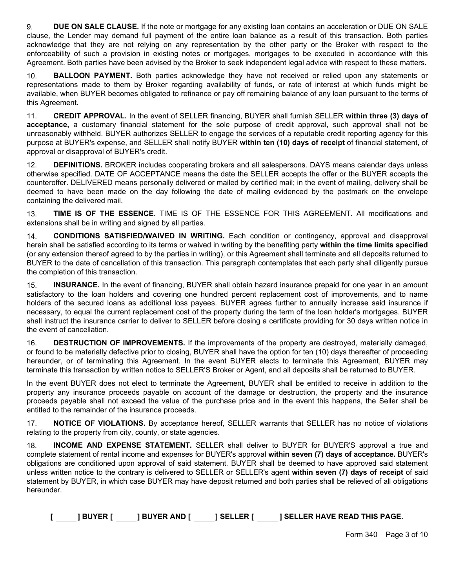9. DUE ON SALE CLAUSE. If the note or mortgage for any existing loan contains an acceleration or DUE ON SALE clause, the Lender may demand full payment of the entire loan balance as a result of this transaction. Both parties acknowledge that they are not relying on any representation by the other party or the Broker with respect to the enforceability of such a provision in existing notes or mortgages, mortgages to be executed in accordance with this Agreement. Both parties have been advised by the Broker to seek independent legal advice with respect to these matters.

10. **BALLOON PAYMENT.** Both parties acknowledge they have not received or relied upon any statements or representations made to them by Broker regarding availability of funds, or rate of interest at which funds might be available, when BUYER becomes obligated to refinance or pay off remaining balance of any loan pursuant to the terms of this Agreement.

11. CREDIT APPROVAL. In the event of SELLER financing, BUYER shall furnish SELLER within three (3) days of acceptance, a customary financial statement for the sole purpose of credit approval, such approval shall not be unreasonably withheld. BUYER authorizes SELLER to engage the services of a reputable credit reporting agency for this purpose at BUYER's expense, and SELLER shall notify BUYER within ten (10) days of receipt of financial statement, of approval or disapproval of BUYER's credit.

12. DEFINITIONS. BROKER includes cooperating brokers and all salespersons. DAYS means calendar days unless otherwise specified. DATE OF ACCEPTANCE means the date the SELLER accepts the offer or the BUYER accepts the counteroffer. DELIVERED means personally delivered or mailed by certified mail; in the event of mailing, delivery shall be deemed to have been made on the day following the date of mailing evidenced by the postmark on the envelope containing the delivered mail.

13. TIME IS OF THE ESSENCE. TIME IS OF THE ESSENCE FOR THIS AGREEMENT. All modifications and extensions shall be in writing and signed by all parties.

14. **CONDITIONS SATISFIED/WAIVED IN WRITING.** Each condition or contingency, approval and disapproval herein shall be satisfied according to its terms or waived in writing by the benefiting party within the time limits specified (or any extension thereof agreed to by the parties in writing), or this Agreement shall terminate and all deposits returned to BUYER to the date of cancellation of this transaction. This paragraph contemplates that each party shall diligently pursue the completion of this transaction.

15. **INSURANCE.** In the event of financing, BUYER shall obtain hazard insurance prepaid for one year in an amount satisfactory to the loan holders and covering one hundred percent replacement cost of improvements, and to name holders of the secured loans as additional loss payees. BUYER agrees further to annually increase said insurance if necessary, to equal the current replacement cost of the property during the term of the loan holder's mortgages. BUYER shall instruct the insurance carrier to deliver to SELLER before closing a certificate providing for 30 days written notice in the event of cancellation.

16. DESTRUCTION OF IMPROVEMENTS. If the improvements of the property are destroyed, materially damaged, or found to be materially defective prior to closing, BUYER shall have the option for ten (10) days thereafter of proceeding hereunder, or of terminating this Agreement. In the event BUYER elects to terminate this Agreement, BUYER may terminate this transaction by written notice to SELLER'S Broker or Agent, and all deposits shall be returned to BUYER.

In the event BUYER does not elect to terminate the Agreement, BUYER shall be entitled to receive in addition to the property any insurance proceeds payable on account of the damage or destruction, the property and the insurance proceeds payable shall not exceed the value of the purchase price and in the event this happens, the Seller shall be entitled to the remainder of the insurance proceeds.

17. NOTICE OF VIOLATIONS. By acceptance hereof, SELLER warrants that SELLER has no notice of violations relating to the property from city, county, or state agencies.

18. **INCOME AND EXPENSE STATEMENT.** SELLER shall deliver to BUYER for BUYER'S approval a true and complete statement of rental income and expenses for BUYER's approval within seven (7) days of acceptance. BUYER's obligations are conditioned upon approval of said statement. BUYER shall be deemed to have approved said statement unless written notice to the contrary is delivered to SELLER or SELLER's agent within seven (7) days of receipt of said statement by BUYER, in which case BUYER may have deposit returned and both parties shall be relieved of all obligations hereunder.

|  | <b>BUYERI</b> | <b>1 BUYER AND [</b> | 1 SELLER I | <b>1 SELLER HAVE READ THIS PAGE.</b> |
|--|---------------|----------------------|------------|--------------------------------------|
|--|---------------|----------------------|------------|--------------------------------------|

Form 340 Page 3 of 10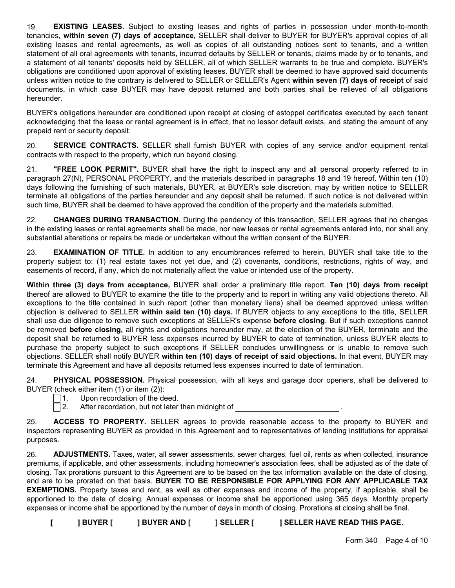19. **EXISTING LEASES.** Subject to existing leases and rights of parties in possession under month-to-month tenancies, within seven (7) days of acceptance, SELLER shall deliver to BUYER for BUYER's approval copies of all existing leases and rental agreements, as well as copies of all outstanding notices sent to tenants, and a written statement of all oral agreements with tenants, incurred defaults by SELLER or tenants, claims made by or to tenants, and a statement of all tenants' deposits held by SELLER, all of which SELLER warrants to be true and complete. BUYER's obligations are conditioned upon approval of existing leases. BUYER shall be deemed to have approved said documents unless written notice to the contrary is delivered to SELLER or SELLER's Agent within seven (7) days of receipt of said documents, in which case BUYER may have deposit returned and both parties shall be relieved of all obligations hereunder.

BUYER's obligations hereunder are conditioned upon receipt at closing of estoppel certificates executed by each tenant acknowledging that the lease or rental agreement is in effect, that no lessor default exists, and stating the amount of any prepaid rent or security deposit.

20. SERVICE CONTRACTS. SELLER shall furnish BUYER with copies of any service and/or equipment rental contracts with respect to the property, which run beyond closing.

21. "FREE LOOK PERMIT". BUYER shall have the right to inspect any and all personal property referred to in paragraph 27(N), PERSONAL PROPERTY, and the materials described in paragraphs 18 and 19 hereof. Within ten (10) days following the furnishing of such materials, BUYER, at BUYER's sole discretion, may by written notice to SELLER terminate all obligations of the parties hereunder and any deposit shall be returned. If such notice is not delivered within such time, BUYER shall be deemed to have approved the condition of the property and the materials submitted.

22. CHANGES DURING TRANSACTION. During the pendency of this transaction, SELLER agrees that no changes in the existing leases or rental agreements shall be made, nor new leases or rental agreements entered into, nor shall any substantial alterations or repairs be made or undertaken without the written consent of the BUYER.

23. **EXAMINATION OF TITLE.** In addition to any encumbrances referred to herein, BUYER shall take title to the property subject to: (1) real estate taxes not yet due, and (2) covenants, conditions, restrictions, rights of way, and easements of record, if any, which do not materially affect the value or intended use of the property.

Within three (3) days from acceptance, BUYER shall order a preliminary title report. Ten (10) days from receipt thereof are allowed to BUYER to examine the title to the property and to report in writing any valid objections thereto. All exceptions to the title contained in such report (other than monetary liens) shall be deemed approved unless written objection is delivered to SELLER within said ten (10) days. If BUYER objects to any exceptions to the title, SELLER shall use due diligence to remove such exceptions at SELLER's expense before closing. But if such exceptions cannot be removed before closing, all rights and obligations hereunder may, at the election of the BUYER, terminate and the deposit shall be returned to BUYER less expenses incurred by BUYER to date of termination, unless BUYER elects to purchase the property subject to such exceptions if SELLER concludes unwillingness or is unable to remove such objections. SELLER shall notify BUYER within ten (10) days of receipt of said objections. In that event, BUYER may terminate this Agreement and have all deposits returned less expenses incurred to date of termination.

24. PHYSICAL POSSESSION. Physical possession, with all keys and garage door openers, shall be delivered to BUYER (check either item (1) or item (2)):

- $\vert$  1. Upon recordation of the deed.
- $\Box$  2. After recordation, but not later than midnight of

25. **ACCESS TO PROPERTY.** SELLER agrees to provide reasonable access to the property to BUYER and inspectors representing BUYER as provided in this Agreement and to representatives of lending institutions for appraisal purposes.

26. **ADJUSTMENTS.** Taxes, water, all sewer assessments, sewer charges, fuel oil, rents as when collected, insurance premiums, if applicable, and other assessments, including homeowner's association fees, shall be adjusted as of the date of closing. Tax prorations pursuant to this Agreement are to be based on the tax information available on the date of closing, and are to be prorated on that basis. BUYER TO BE RESPONSIBLE FOR APPLYING FOR ANY APPLICABLE TAX EXEMPTIONS. Property taxes and rent, as well as other expenses and income of the property, if applicable, shall be apportioned to the date of closing. Annual expenses or income shall be apportioned using 365 days. Monthly property expenses or income shall be apportioned by the number of days in month of closing. Prorations at closing shall be final.

[ ] BUYER [ ] BUYER AND [ ] SELLER [ ] SELLER HAVE READ THIS PAGE.

Form 340 Page 4 of 10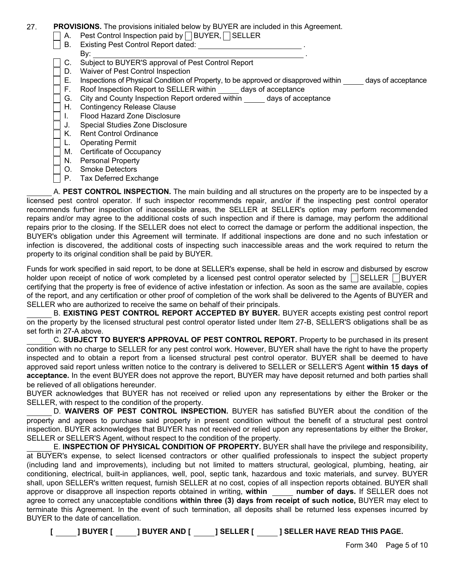## 27. PROVISIONS. The provisions initialed below by BUYER are included in this Agreement.

- $\vert$  A. Pest Control Inspection paid by  $\vert$  BUYER, SELLER
- $\Box$  B. Existing Pest Control Report dated:
	- By: the contract of the contract of the contract of the contract of the contract of the contract of the contract of the contract of the contract of the contract of the contract of the contract of the contract of the contra C. Subject to BUYER'S approval of Pest Control Report
- 
- D. Waiver of Pest Control Inspection
	- E. Inspections of Physical Condition of Property, to be approved or disapproved within days of acceptance
- F. Roof Inspection Report to SELLER within days of acceptance
- G. City and County Inspection Report ordered within days of acceptance
- H. Contingency Release Clause
- I. Flood Hazard Zone Disclosure
- J. Special Studies Zone Disclosure
- K. Rent Control Ordinance
- L. Operating Permit
- M. Certificate of Occupancy
- N. Personal Property
- O. Smoke Detectors
- $\vert \ \vert$  P. Tax Deferred Exchange

A. PEST CONTROL INSPECTION. The main building and all structures on the property are to be inspected by a licensed pest control operator. If such inspector recommends repair, and/or if the inspecting pest control operator recommends further inspection of inaccessible areas, the SELLER at SELLER's option may perform recommended repairs and/or may agree to the additional costs of such inspection and if there is damage, may perform the additional repairs prior to the closing. If the SELLER does not elect to correct the damage or perform the additional inspection, the BUYER's obligation under this Agreement will terminate. If additional inspections are done and no such infestation or infection is discovered, the additional costs of inspecting such inaccessible areas and the work required to return the property to its original condition shall be paid by BUYER.

Funds for work specified in said report, to be done at SELLER's expense, shall be held in escrow and disbursed by escrow holder upon receipt of notice of work completed by a licensed pest control operator selected by  $\Box$  SELLER  $\Box$ BUYER certifying that the property is free of evidence of active infestation or infection. As soon as the same are available, copies of the report, and any certification or other proof of completion of the work shall be delivered to the Agents of BUYER and SELLER who are authorized to receive the same on behalf of their principals.

B. EXISTING PEST CONTROL REPORT ACCEPTED BY BUYER. BUYER accepts existing pest control report on the property by the licensed structural pest control operator listed under Item 27-B, SELLER'S obligations shall be as set forth in 27-A above.

C. SUBJECT TO BUYER'S APPROVAL OF PEST CONTROL REPORT. Property to be purchased in its present condition with no charge to SELLER for any pest control work. However, BUYER shall have the right to have the property inspected and to obtain a report from a licensed structural pest control operator. BUYER shall be deemed to have approved said report unless written notice to the contrary is delivered to SELLER or SELLER'S Agent within 15 days of acceptance. In the event BUYER does not approve the report, BUYER may have deposit returned and both parties shall be relieved of all obligations hereunder.

BUYER acknowledges that BUYER has not received or relied upon any representations by either the Broker or the SELLER, with respect to the condition of the property.

D. WAIVERS OF PEST CONTROL INSPECTION. BUYER has satisfied BUYER about the condition of the property and agrees to purchase said property in present condition without the benefit of a structural pest control inspection. BUYER acknowledges that BUYER has not received or relied upon any representations by either the Broker, SELLER or SELLER'S Agent, without respect to the condition of the property.

E. INSPECTION OF PHYSICAL CONDITION OF PROPERTY. BUYER shall have the privilege and responsibility, at BUYER's expense, to select licensed contractors or other qualified professionals to inspect the subject property (including land and improvements), including but not limited to matters structural, geological, plumbing, heating, air conditioning, electrical, built-in appliances, well, pool, septic tank, hazardous and toxic materials, and survey. BUYER shall, upon SELLER's written request, furnish SELLER at no cost, copies of all inspection reports obtained. BUYER shall approve or disapprove all inspection reports obtained in writing, within number of days. If SELLER does not agree to correct any unacceptable conditions within three (3) days from receipt of such notice, BUYER may elect to terminate this Agreement. In the event of such termination, all deposits shall be returned less expenses incurred by BUYER to the date of cancellation.

[ ] BUYER [ ] BUYER AND [ ] SELLER [ ] SELLER HAVE READ THIS PAGE.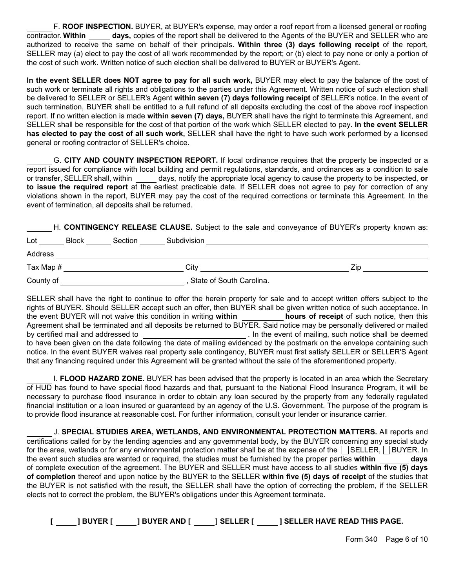F. ROOF INSPECTION. BUYER, at BUYER's expense, may order a roof report from a licensed general or roofing contractor. Within days, copies of the report shall be delivered to the Agents of the BUYER and SELLER who are authorized to receive the same on behalf of their principals. Within three (3) days following receipt of the report, SELLER may (a) elect to pay the cost of all work recommended by the report; or (b) elect to pay none or only a portion of the cost of such work. Written notice of such election shall be delivered to BUYER or BUYER's Agent.

In the event SELLER does NOT agree to pay for all such work, BUYER may elect to pay the balance of the cost of such work or terminate all rights and obligations to the parties under this Agreement. Written notice of such election shall be delivered to SELLER or SELLER's Agent within seven (7) days following receipt of SELLER's notice. In the event of such termination, BUYER shall be entitled to a full refund of all deposits excluding the cost of the above roof inspection report. If no written election is made within seven (7) days, BUYER shall have the right to terminate this Agreement, and SELLER shall be responsible for the cost of that portion of the work which SELLER elected to pay. In the event SELLER has elected to pay the cost of all such work, SELLER shall have the right to have such work performed by a licensed general or roofing contractor of SELLER's choice.

G. CITY AND COUNTY INSPECTION REPORT. If local ordinance requires that the property be inspected or a report issued for compliance with local building and permit regulations, standards, and ordinances as a condition to sale or transfer, SELLER shall, within days, notify the appropriate local agency to cause the property to be inspected, or to issue the required report at the earliest practicable date. If SELLER does not agree to pay for correction of any violations shown in the report, BUYER may pay the cost of the required corrections or terminate this Agreement. In the event of termination, all deposits shall be returned.

H. CONTINGENCY RELEASE CLAUSE. Subject to the sale and conveyance of BUYER's property known as:

| Lot       | <b>Block</b><br>Section | Subdivision              |     |
|-----------|-------------------------|--------------------------|-----|
| Address   |                         |                          |     |
| Tax Map # |                         | Citv                     | Zip |
| County of |                         | State of South Carolina. |     |

SELLER shall have the right to continue to offer the herein property for sale and to accept written offers subject to the rights of BUYER. Should SELLER accept such an offer, then BUYER shall be given written notice of such acceptance. In the event BUYER will not waive this condition in writing within hours of receipt of such notice, then this Agreement shall be terminated and all deposits be returned to BUYER. Said notice may be personally delivered or mailed by certified mail and addressed to . In the event of mailing, such notice shall be deemed to have been given on the date following the date of mailing evidenced by the postmark on the envelope containing such notice. In the event BUYER waives real property sale contingency, BUYER must first satisfy SELLER or SELLER'S Agent that any financing required under this Agreement will be granted without the sale of the aforementioned property.

I. FLOOD HAZARD ZONE. BUYER has been advised that the property is located in an area which the Secretary of HUD has found to have special flood hazards and that, pursuant to the National Flood Insurance Program, it will be necessary to purchase flood insurance in order to obtain any loan secured by the property from any federally regulated financial institution or a loan insured or guaranteed by an agency of the U.S. Government. The purpose of the program is to provide flood insurance at reasonable cost. For further information, consult your lender or insurance carrier.

J. SPECIAL STUDIES AREA, WETLANDS, AND ENVIRONMENTAL PROTECTION MATTERS. All reports and certifications called for by the lending agencies and any governmental body, by the BUYER concerning any special study for the area, wetlands or for any environmental protection matter shall be at the expense of the  $\Box$  SELLER,  $\Box$  BUYER. In the event such studies are wanted or required, the studies must be furnished by the proper parties within days of complete execution of the agreement. The BUYER and SELLER must have access to all studies within five (5) days of completion thereof and upon notice by the BUYER to the SELLER within five (5) days of receipt of the studies that the BUYER is not satisfied with the result, the SELLER shall have the option of correcting the problem, if the SELLER elects not to correct the problem, the BUYER's obligations under this Agreement terminate.

|  | <b>BUYER I</b> | I BUYER AND I | <b>1 SELLER I</b> | <b>1 SELLER HAVE READ THIS PAGE.</b> |
|--|----------------|---------------|-------------------|--------------------------------------|
|--|----------------|---------------|-------------------|--------------------------------------|

Form 340 Page 6 of 10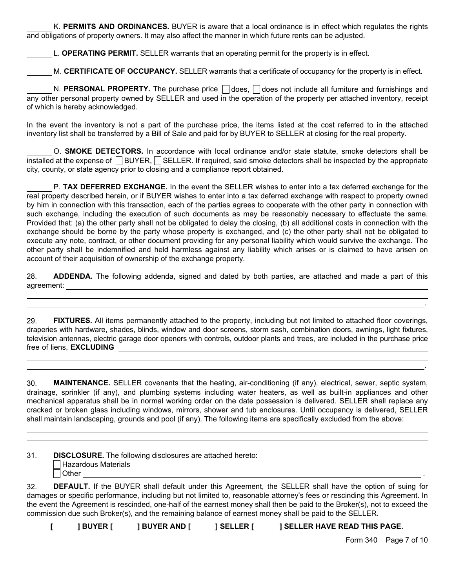K. PERMITS AND ORDINANCES. BUYER is aware that a local ordinance is in effect which regulates the rights and obligations of property owners. It may also affect the manner in which future rents can be adjusted.

L. **OPERATING PERMIT.** SELLER warrants that an operating permit for the property is in effect.

M. CERTIFICATE OF OCCUPANCY. SELLER warrants that a certificate of occupancy for the property is in effect.

N. PERSONAL PROPERTY. The purchase price  $\Box$  does,  $\Box$  does not include all furniture and furnishings and any other personal property owned by SELLER and used in the operation of the property per attached inventory, receipt of which is hereby acknowledged.

In the event the inventory is not a part of the purchase price, the items listed at the cost referred to in the attached inventory list shall be transferred by a Bill of Sale and paid for by BUYER to SELLER at closing for the real property.

O. SMOKE DETECTORS. In accordance with local ordinance and/or state statute, smoke detectors shall be  $\overline{\text{installed}}$  at the expense of  $\Box$  BUYER,  $\Box$  SELLER. If required, said smoke detectors shall be inspected by the appropriate city, county, or state agency prior to closing and a compliance report obtained.

P. TAX DEFERRED EXCHANGE. In the event the SELLER wishes to enter into a tax deferred exchange for the real property described herein, or if BUYER wishes to enter into a tax deferred exchange with respect to property owned by him in connection with this transaction, each of the parties agrees to cooperate with the other party in connection with such exchange, including the execution of such documents as may be reasonably necessary to effectuate the same. Provided that: (a) the other party shall not be obligated to delay the closing, (b) all additional costs in connection with the exchange should be borne by the party whose property is exchanged, and (c) the other party shall not be obligated to execute any note, contract, or other document providing for any personal liability which would survive the exchange. The other party shall be indemnified and held harmless against any liability which arises or is claimed to have arisen on account of their acquisition of ownership of the exchange property.

28. ADDENDA. The following addenda, signed and dated by both parties, are attached and made a part of this agreement:

29. FIXTURES. All items permanently attached to the property, including but not limited to attached floor coverings, draperies with hardware, shades, blinds, window and door screens, storm sash, combination doors, awnings, light fixtures, television antennas, electric garage door openers with controls, outdoor plants and trees, are included in the purchase price free of liens, EXCLUDING

30. MAINTENANCE. SELLER covenants that the heating, air-conditioning (if any), electrical, sewer, septic system, drainage, sprinkler (if any), and plumbing systems including water heaters, as well as built-in appliances and other mechanical apparatus shall be in normal working order on the date possession is delivered. SELLER shall replace any cracked or broken glass including windows, mirrors, shower and tub enclosures. Until occupancy is delivered, SELLER shall maintain landscaping, grounds and pool (if any). The following items are specifically excluded from the above:

31. DISCLOSURE. The following disclosures are attached hereto: | Hazardous Materials  $\Box$  Other  $\Box$ 

32. DEFAULT. If the BUYER shall default under this Agreement, the SELLER shall have the option of suing for damages or specific performance, including but not limited to, reasonable attorney's fees or rescinding this Agreement. In the event the Agreement is rescinded, one-half of the earnest money shall then be paid to the Broker(s), not to exceed the commission due such Broker(s), and the remaining balance of earnest money shall be paid to the SELLER.

[ ] BUYER [ ] ] BUYER AND [ ] SELLER [ ] ] SELLER HAVE READ THIS PAGE.

.

.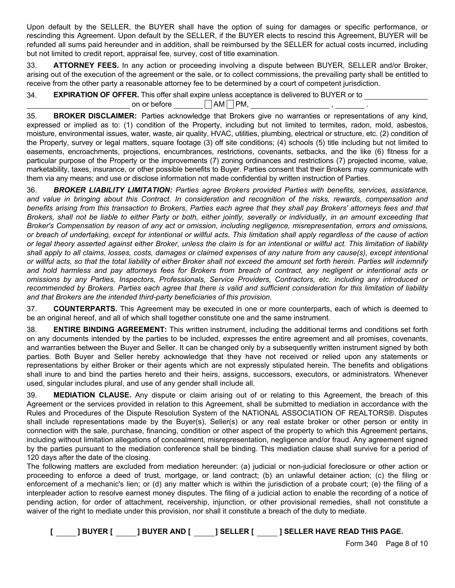Upon default by the SELLER, the BUYER shall have the option of suing for damages or specific performance, or rescinding this Agreement. Upon default by the SELLER, if the BUYER elects to rescind this Agreement, BUYER will be refunded all sums paid hereunder and in addition, shall be reimbursed by the SELLER for actual costs incurred, including but not limited to credit report, appraisal fee, survey, cost of title examination.

33. ATTORNEY FEES. In any action or proceeding involving a dispute between BUYER, SELLER and/or Broker, arising out of the execution of the agreement or the sale, or to collect commissions, the prevailing party shall be entitled to receive from the other party a reasonable attorney fee to be determined by a court of competent jurisdiction.

34. EXPIRATION OF OFFER. This offer shall expire unless acceptance is delivered to BUYER or to

on or before  $\Box$  AM  $\Box$  PM,

35. BROKER DISCLAIMER: Parties acknowledge that Brokers give no warranties or representations of any kind, expressed or implied as to: (1) condition of the Property, including but not limited to termites, radon, mold, asbestos, moisture, environmental issues, water, waste, air quality, HVAC, utilities, plumbing, electrical or structure, etc. (2) condition of the Property, survey or legal matters, square footage (3) off site conditions; (4) schools (5) title including but not limited to easements, encroachments, projections, encumbrances, restrictions, covenants, setbacks, and the like (6) fitness for a particular purpose of the Property or the improvements (7) zoning ordinances and restrictions (7) projected income, value, marketability, taxes, insurance, or other possible benefits to Buyer. Parties consent that their Brokers may communicate with them via any means; and use or disclose information not made confidential by written instruction of Parties.

36. *BROKER LIABILITY LIMITATION: Parties agree Brokers provided Parties with benefits, services, assistance, and value in bringing about this Contract. In consideration and recognition of the risks, rewards, compensation and benefits arising from this transaction to Brokers, Parties each agree that they shall pay Brokers' attorneys fees and that Brokers, shall not be liable to either Party or both, either jointly, severally or individually, in an amount exceeding that Broker's Compensation by reason of any act or omission, including negligence, misrepresentation, errors and omissions, or breach of undertaking, except for intentional or willful acts. This limitation shall apply regardless of the cause of action or legal theory asserted against either Broker, unless the claim is for an intentional or willful act. This limitation of liability shall apply to all claims, losses, costs, damages or claimed expenses of any nature from any cause(s), except intentional or willful acts, so that the total liability of either Broker shall not exceed the amount set forth herein. Parties will indemnify and hold harmless and pay attorneys fees for Brokers from breach of contract, any negligent or intentional acts or omissions by any Parties, Inspectors, Professionals, Service Providers, Contractors, etc. including any introduced or recommended by Brokers. Parties each agree that there is valid and sufficient consideration for this limitation of liability and that Brokers are the intended third-party beneficiaries of this provision.*

37. COUNTERPARTS. This Agreement may be executed in one or more counterparts, each of which is deemed to be an original hereof, and all of which shall together constitute one and the same instrument.

38. ENTIRE BINDING AGREEMENT: This written instrument, including the additional terms and conditions set forth on any documents intended by the parties to be included, expresses the entire agreement and all promises, covenants, and warranties between the Buyer and Seller. It can be changed only by a subsequently written instrument signed by both parties. Both Buyer and Seller hereby acknowledge that they have not received or relied upon any statements or representations by either Broker or their agents which are not expressly stipulated herein. The benefits and obligations shall inure to and bind the parties hereto and their heirs, assigns, successors, executors, or administrators. Whenever used, singular includes plural, and use of any gender shall include all.

39. MEDIATION CLAUSE. Any dispute or claim arising out of or relating to this Agreement, the breach of this Agreement or the services provided in relation to this Agreement, shall be submitted to mediation in accordance with the Rules and Procedures of the Dispute Resolution System of the NATIONAL ASSOCIATION OF REALTORS®. Disputes shall include representations made by the Buyer(s), Seller(s) or any real estate broker or other person or entity in connection with the sale, purchase, financing, condition or other aspect of the property to which this Agreement pertains, including without limitation allegations of concealment, misrepresentation, negligence and/or fraud. Any agreement signed by the parties pursuant to the mediation conference shall be binding. This mediation clause shall survive for a period of 120 days after the date of the closing.

The following matters are excluded from mediation hereunder: (a) judicial or non-judicial foreclosure or other action or proceeding to enforce a deed of trust, mortgage, or land contract; (b) an unlawful detainer action; (c) the filing or enforcement of a mechanic's lien; or (d) any matter which is within the jurisdiction of a probate court; (e) the filing of a interpleader action to resolve earnest money disputes. The filing of a judicial action to enable the recording of a notice of pending action, for order of attachment, receivership, injunction, or other provisional remedies, shall not constitute a waiver of the right to mediate under this provision, nor shall it constitute a breach of the duty to mediate.

[ ] BUYER [ ] BUYER AND [ ] SELLER [ ] SELLER HAVE READ THIS PAGE.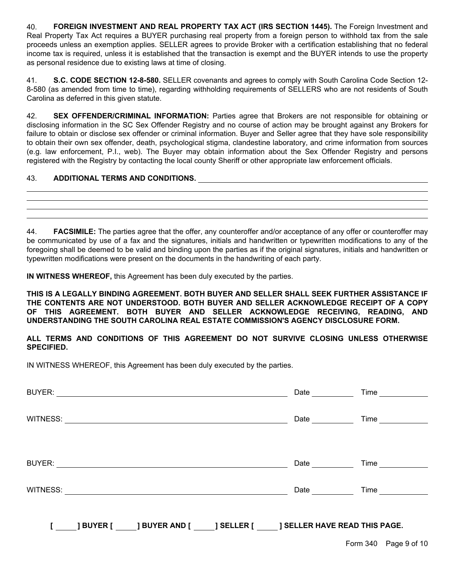40. FOREIGN INVESTMENT AND REAL PROPERTY TAX ACT (IRS SECTION 1445). The Foreign Investment and Real Property Tax Act requires a BUYER purchasing real property from a foreign person to withhold tax from the sale proceeds unless an exemption applies. SELLER agrees to provide Broker with a certification establishing that no federal income tax is required, unless it is established that the transaction is exempt and the BUYER intends to use the property as personal residence due to existing laws at time of closing.

41. S.C. CODE SECTION 12-8-580. SELLER covenants and agrees to comply with South Carolina Code Section 12- 8-580 (as amended from time to time), regarding withholding requirements of SELLERS who are not residents of South Carolina as deferred in this given statute.

42. SEX OFFENDER/CRIMINAL INFORMATION: Parties agree that Brokers are not responsible for obtaining or disclosing information in the SC Sex Offender Registry and no course of action may be brought against any Brokers for failure to obtain or disclose sex offender or criminal information. Buyer and Seller agree that they have sole responsibility to obtain their own sex offender, death, psychological stigma, clandestine laboratory, and crime information from sources (e.g. law enforcement, P.I., web). The Buyer may obtain information about the Sex Offender Registry and persons registered with the Registry by contacting the local county Sheriff or other appropriate law enforcement officials.

## 43. ADDITIONAL TERMS AND CONDITIONS.

44. **FACSIMILE:** The parties agree that the offer, any counteroffer and/or acceptance of any offer or counteroffer may be communicated by use of a fax and the signatures, initials and handwritten or typewritten modifications to any of the foregoing shall be deemed to be valid and binding upon the parties as if the original signatures, initials and handwritten or typewritten modifications were present on the documents in the handwriting of each party.

IN WITNESS WHEREOF, this Agreement has been duly executed by the parties.

THIS IS A LEGALLY BINDING AGREEMENT. BOTH BUYER AND SELLER SHALL SEEK FURTHER ASSISTANCE IF THE CONTENTS ARE NOT UNDERSTOOD. BOTH BUYER AND SELLER ACKNOWLEDGE RECEIPT OF A COPY OF THIS AGREEMENT. BOTH BUYER AND SELLER ACKNOWLEDGE RECEIVING, READING, AND UNDERSTANDING THE SOUTH CAROLINA REAL ESTATE COMMISSION'S AGENCY DISCLOSURE FORM.

ALL TERMS AND CONDITIONS OF THIS AGREEMENT DO NOT SURVIVE CLOSING UNLESS OTHERWISE SPECIFIED.

IN WITNESS WHEREOF, this Agreement has been duly executed by the parties.

|  |                                                                                                                                                                                                                                | Date and the state of the state of the state of the state of the state of the state of the state of the state | Time and the state of the state of the state of the state of the state of the state of the state of the state |
|--|--------------------------------------------------------------------------------------------------------------------------------------------------------------------------------------------------------------------------------|---------------------------------------------------------------------------------------------------------------|---------------------------------------------------------------------------------------------------------------|
|  |                                                                                                                                                                                                                                | Date $\frac{1}{2}$                                                                                            |                                                                                                               |
|  |                                                                                                                                                                                                                                | Date                                                                                                          | Time                                                                                                          |
|  | WITNESS: NAME AND THE RESERVE TO A REPORT OF THE RESERVE TO A REPORT OF THE RESERVE TO A REPORT OF THE RESERVE TO A REPORT OF THE RESERVE TO A REPORT OF THE RESERVE TO A REPORT OF THE RESERVE TO A REPORT OF THE REPORT OF T | Date                                                                                                          |                                                                                                               |
|  | [ _____] BUYER [ ______] BUYER AND [ _____] SELLER [ ______] SELLER HAVE READ THIS PAGE.                                                                                                                                       |                                                                                                               |                                                                                                               |
|  |                                                                                                                                                                                                                                |                                                                                                               | Form 340 Page 9 of 10                                                                                         |